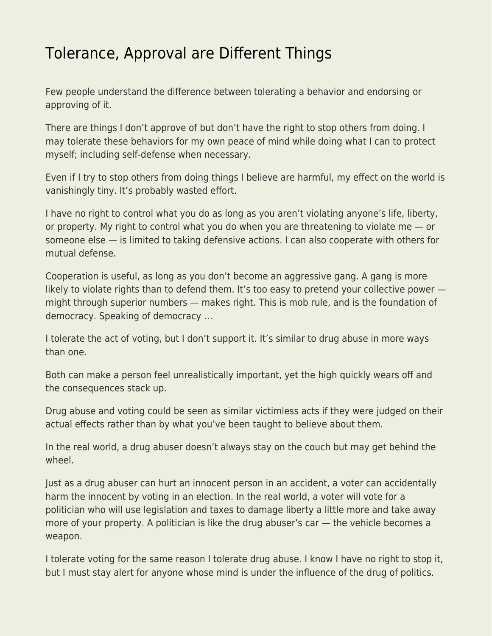## [Tolerance, Approval are Different Things](https://everything-voluntary.com/tolerance-approval-are-different-things)

Few people understand the difference between tolerating a behavior and endorsing or approving of it.

There are things I don't approve of but don't have the right to stop others from doing. I may tolerate these behaviors for my own peace of mind while doing what I can to protect myself; including self-defense when necessary.

Even if I try to stop others from doing things I believe are harmful, my effect on the world is vanishingly tiny. It's probably wasted effort.

I have no right to control what you do as long as you aren't violating anyone's life, liberty, or property. My right to control what you do when you are threatening to violate me — or someone else — is limited to taking defensive actions. I can also cooperate with others for mutual defense.

Cooperation is useful, as long as you don't become an aggressive gang. A gang is more likely to violate rights than to defend them. It's too easy to pretend your collective power might through superior numbers — makes right. This is mob rule, and is the foundation of democracy. Speaking of democracy …

I tolerate the act of voting, but I don't support it. It's similar to drug abuse in more ways than one.

Both can make a person feel unrealistically important, yet the high quickly wears off and the consequences stack up.

Drug abuse and voting could be seen as similar victimless acts if they were judged on their actual effects rather than by what you've been taught to believe about them.

In the real world, a drug abuser doesn't always stay on the couch but may get behind the wheel.

Just as a drug abuser can hurt an innocent person in an accident, a voter can accidentally harm the innocent by voting in an election. In the real world, a voter will vote for a politician who will use legislation and taxes to damage liberty a little more and take away more of your property. A politician is like the drug abuser's car — the vehicle becomes a weapon.

I tolerate voting for the same reason I tolerate drug abuse. I know I have no right to stop it, but I must stay alert for anyone whose mind is under the influence of the drug of politics.